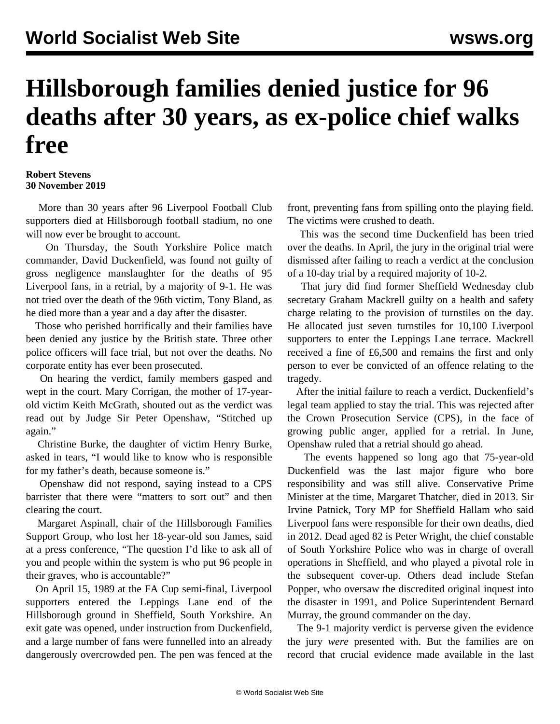## **Hillsborough families denied justice for 96 deaths after 30 years, as ex-police chief walks free**

**Robert Stevens 30 November 2019**

 More than 30 years after 96 Liverpool Football Club supporters died at Hillsborough football stadium, no one will now ever be brought to account.

 On Thursday, the South Yorkshire Police match commander, David Duckenfield, was found not guilty of gross negligence manslaughter for the deaths of 95 Liverpool fans, in a retrial, by a majority of 9-1. He was not tried over the death of the 96th victim, Tony Bland, as he died more than a year and a day after the disaster.

 Those who perished horrifically and their families have been denied any justice by the British state. Three other police officers will face trial, but not over the deaths. No corporate entity has ever been prosecuted.

 On hearing the verdict, family members gasped and wept in the court. Mary Corrigan, the mother of 17-yearold victim Keith McGrath, shouted out as the verdict was read out by Judge Sir Peter Openshaw, "Stitched up again."

 Christine Burke, the daughter of victim Henry Burke, asked in tears, "I would like to know who is responsible for my father's death, because someone is."

 Openshaw did not respond, saying instead to a CPS barrister that there were "matters to sort out" and then clearing the court.

 Margaret Aspinall, chair of the Hillsborough Families Support Group, who lost her 18-year-old son James, said at a press conference, "The question I'd like to ask all of you and people within the system is who put 96 people in their graves, who is accountable?"

 On April 15, 1989 at the FA Cup semi-final, Liverpool supporters entered the Leppings Lane end of the Hillsborough ground in Sheffield, South Yorkshire. An exit gate was opened, under instruction from Duckenfield, and a large number of fans were funnelled into an already dangerously overcrowded pen. The pen was fenced at the

front, preventing fans from spilling onto the playing field. The victims were crushed to death.

 This was the second time Duckenfield has been tried over the deaths. In April, the jury in the [original](/en/articles/2019/04/09/hill-a09.html) trial were dismissed after failing to reach a verdict at the conclusion of a 10-day trial by a required majority of 10-2.

 That jury did find former Sheffield Wednesday club secretary Graham Mackrell guilty on a health and safety charge relating to the provision of turnstiles on the day. He allocated just seven turnstiles for 10,100 Liverpool supporters to enter the Leppings Lane terrace. Mackrell received a fine of £6,500 and remains the first and only person to ever be convicted of an offence relating to the tragedy.

 After the initial failure to reach a verdict, Duckenfield's legal team applied to stay the trial. This was rejected after the Crown Prosecution Service (CPS), in the face of growing public anger, applied for a retrial. In June, Openshaw ruled that a retrial should go ahead.

 The events happened so long ago that 75-year-old Duckenfield was the last major figure who bore responsibility and was still alive. Conservative Prime Minister at the time, Margaret Thatcher, died in 2013. Sir Irvine Patnick, Tory MP for Sheffield Hallam who said Liverpool fans were responsible for their own deaths, died in 2012. Dead aged 82 is Peter Wright, the chief constable of South Yorkshire Police who was in charge of overall operations in Sheffield, and who played a pivotal role in the subsequent cover-up. Others dead include Stefan Popper, who oversaw the discredited original inquest into the disaster in 1991, and Police Superintendent Bernard Murray, the ground commander on the day.

 The 9-1 majority verdict is perverse given the evidence the jury *were* presented with. But the families are on record that crucial evidence made available in the last